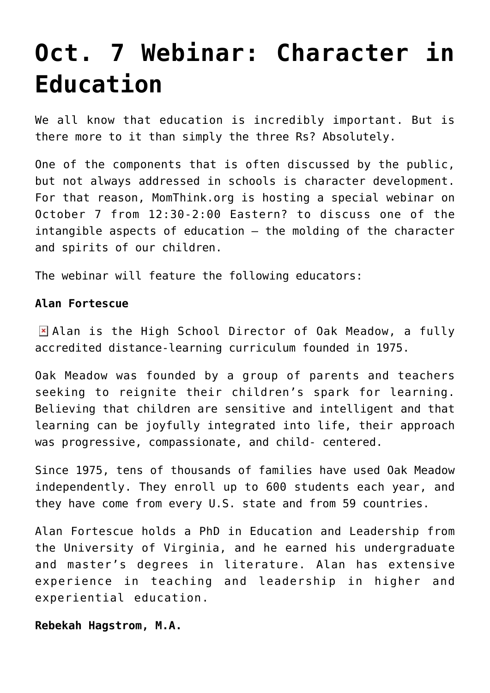## **[Oct. 7 Webinar: Character in](https://intellectualtakeout.org/2015/10/oct-7-webinar-character-in-education/) [Education](https://intellectualtakeout.org/2015/10/oct-7-webinar-character-in-education/)**

We all know that education is incredibly important. But is there more to it than simply the three Rs? Absolutely.

One of the components that is often discussed by the public, but not always addressed in schools is character development. For that reason, MomThink.org is hosting a special webinar on October 7 from 12:30-2:00 Eastern? to discuss one of the intangible aspects of education – the molding of the character and spirits of our children.

The webinar will feature the following educators:

## **Alan Fortescue**

Alan is the High School Director of Oak Meadow, a fully accredited distance-learning curriculum founded in 1975.

Oak Meadow was founded by a group of parents and teachers seeking to reignite their children's spark for learning. Believing that children are sensitive and intelligent and that learning can be joyfully integrated into life, their approach was progressive, compassionate, and child- centered.

Since 1975, tens of thousands of families have used Oak Meadow independently. They enroll up to 600 students each year, and they have come from every U.S. state and from 59 countries.

Alan Fortescue holds a PhD in Education and Leadership from the University of Virginia, and he earned his undergraduate and master's degrees in literature. Alan has extensive experience in teaching and leadership in higher and experiential education.

**Rebekah Hagstrom, M.A.**